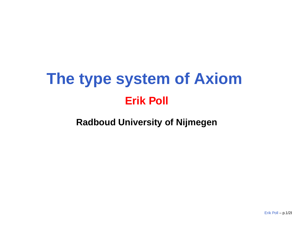# **The type system of Axiom Erik Poll**

**Radboud University of Nijmegen**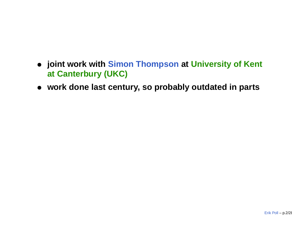- **joint work with Simon Thompson at University of Kent at Canterbury (UKC)**
- **work done last century, so probably outdated in parts**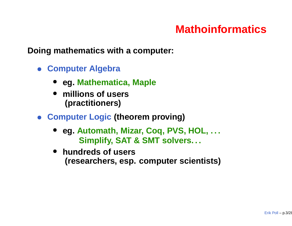# **Mathoinformatics**

**Doing mathematics with <sup>a</sup> computer:**

- **Computer Algebra**
	- **eg. Mathematica, Maple**
	- • **millions of users (practitioners)**
- **Computer Logic (theorem proving)**
	- **eg. Automath, Mizar, Coq, PVS, HOL, . . . Simplify, SAT & SMT solvers. . .**
	- $\bullet$  **hundreds of users (researchers, esp. computer scientists)**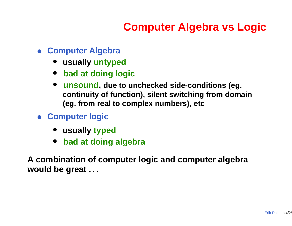# **Computer Algebra vs Logic**

- **Computer Algebra**
	- **usually untyped**
	- **bad at doing logic**
	- $\bullet$  **unsound, due to unchecked side-conditions (eg. continuity of function), silent switching from domain (eg. from real to complex numbers), etc**
- **Computer logic**
	- **usually typed**
	- $\bullet$ **bad at doing algebra**

**A combination of computer logic and computer algebra would be great . . .**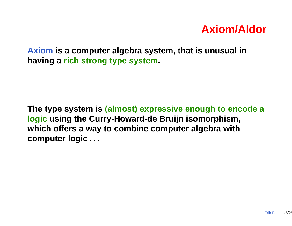#### **Axiom/Aldor**

**Axiom is <sup>a</sup> computer algebra system, that is unusual in having <sup>a</sup> rich strong type system.**

**The type system is (almost) expressive enough to encode <sup>a</sup> logic using the Curry-Howard-de Bruijn isomorphism, which offers <sup>a</sup> way to combine computer algebra with computer logic . . .**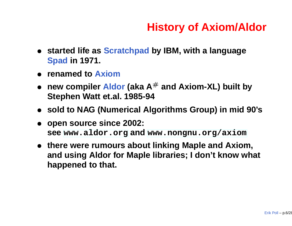# **History of Axiom/Aldor**

- **started life as Scratchpad by IBM, with <sup>a</sup> language Spad in 1971.**
- **renamed to Axiom**
- • **new compiler Aldor (aka <sup>A</sup>**# **and Axiom-XL) built by Stephen Watt et.al. 1985-94**
- **sold to NAG (Numerical Algorithms Group) in mid 90's**
- • **open source since 2002: see [www](www.aldor.org).[aldor](www.aldor.org).[o](www.aldor.org)rg and [www](www.nongnu.org/axiom).[nongnu](www.nongnu.org/axiom).[org/ax](www.nongnu.org/axiom)iom**
- **there were rumours about linking Maple and Axiom, and using Aldor for Maple libraries; I don't know what happened to that.**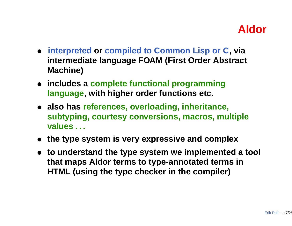## **Aldor**

- **interpreted or compiled to Common Lisp or C, via intermediate language FOAM (First Order Abstract Machine)**
- **includes <sup>a</sup> complete functional programming language, with higher order functions etc.**
- **also has references, overloading, inheritance, subtyping, courtesy conversions, macros, multiple values . . .**
- **the type system is very expressive and complex**
- **to understand the type system we implemented <sup>a</sup> tool that maps Aldor terms to type-annotated terms in HTML (using the type checker in the compiler)**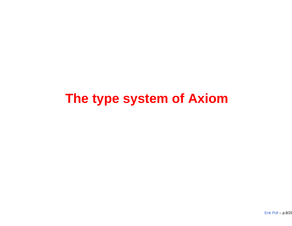# **The type system of Axiom**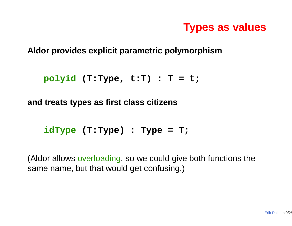## **Types as values**

**Aldor provides explicit parametric polymorphism**

```
polyid (T:Type, t:T) : T = t;
```
**and treats types as first class citizens**

```
idType (T:Type) : Type = T;
```
(Aldor allows overloading, so we could give both functions the same name, but that would get confusing.)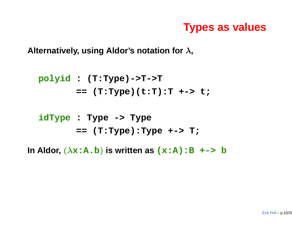#### **Types as values**

**Alternatively, using Aldor's notation for** λ**,**

$$
\begin{array}{ll}\n\text{polyid} : (\texttt{T:Type})->T->T \\
&== (\texttt{T:Type})(t:T):T++> t;\n\end{array}
$$

#### **idType : Type -> Type == (T:Type):Type +-> T;**

**In Aldor,** (λ**x:A.b**) **is written as (x:A):B +-> <sup>b</sup>**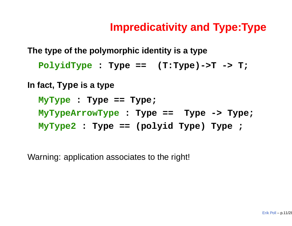## **Impredicativity and Type:Type**

**The type of the polymorphic identity is <sup>a</sup> type**

**PolyidType : Type == (T:Type)->T -> T;**

**In fact, Type is <sup>a</sup> type**

**MyType : Type == Type; MyTypeArrowType : Type == Type -> Type; MyType2 : Type == (polyid Type) Type ;**

Warning: application associates to the right!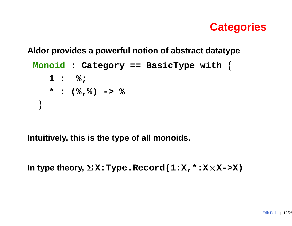#### **Categories**

**Aldor provides <sup>a</sup> powerful notion of abstract datatype**

```
Monoid : Category == BasicType with {
   1 : %;
   * : (%,%) -> %
}
```
**Intuitively, this is the type of all monoids.**

**In type theory,** Σ **X:Type.Record(1:X,\*:X**×**X->X)**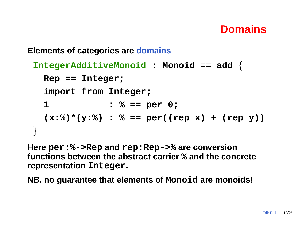## **Domains**

#### **Elements of categories are domains**

```
IntegerAdditiveMonoid : Monoid == add {
  Rep == Integer;
  import from Integer;
  1 : % == per 0;
  (x:%)*(y:%) : % == per((rep x) + (rep y))
}<br>}
```
**Here per:%->Rep and rep:Rep->% are conversion functions between the abstract carrier % and the concrete representation Integer.**

**NB. no guarantee that elements of Monoid are monoids!**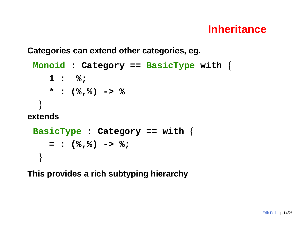#### **Inheritance**

**Categories can extend other categories, eg.**

```
Monoid : Category == BasicType with {
    1 : %;
    * : (%,%) -> %
  }
extendsBasicType : Category == with {
    = : (%,%) -> %;
  }
```
**This provides <sup>a</sup> rich subtyping hierarchy**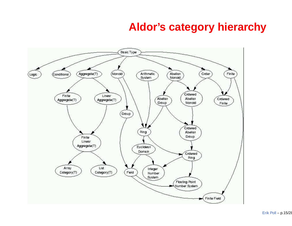#### **Aldor's category hierarchy**

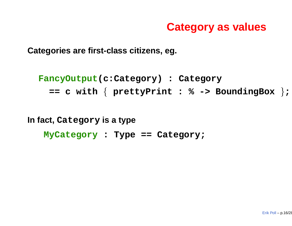#### **Category as values**

**Categories are first-class citizens, eg.**

```
FancyOutput(c:Category) : Category
  == c with { prettyPrint : % -> BoundingBox };
```
**In fact, Category is <sup>a</sup> type**

**MyCategory : Type == Category;**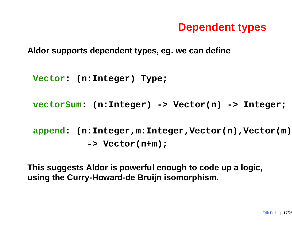#### **Dependent types**

**Aldor supports dependent types, eg. we can define**

```
Vector: (n:Integer) Type;
```
**vectorSum: (n:Integer) -> Vector(n) -> Integer;**

**append: (n:Integer,m:Integer,Vector(n),Vector(m)) -> Vector(n+m);**

**This suggests Aldor is powerful enough to code up <sup>a</sup> logic, using the Curry-Howard-de Bruijn isomorphism.**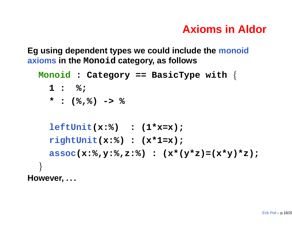# **Axioms in Aldor**

**Eg using dependent types we could include the monoid axioms in the Monoid category, as follows**

```
Monoid : Category == BasicType with {
    1 : %;
    * : (%,%) -> %
    leftUnit(x:%) : (1*x=x);
    rightUnit(x:%) : (x*1=x);
    assoc(x:%,y:%,z:%) : (x*(y*z)=(x*y)*z);
  }
However, . . .
```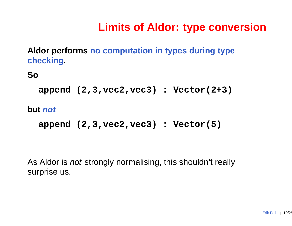# **Limits of Aldor: type conversion**

**Aldor performs no computation in types during type checking.**

**So**

```
append (2,3,vec2,vec3) : Vector(2+3)
```
**but not**

```
append (2,3,vec2,vec3) : Vector(5)
```
As Aldor is *not* strongly normalising, this shouldn't really surprise us.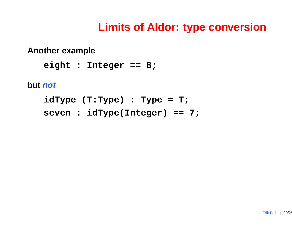#### **Limits of Aldor: type conversion**

**Another example**

**eight : Integer == 8;**

**but not**

**idType (T:Type) : Type <sup>=</sup> T; seven : idType(Integer) == 7;**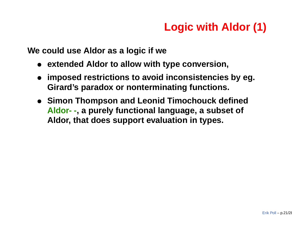# **Logic with Aldor (1)**

**We could use Aldor as <sup>a</sup> logic if we**

- **extended Aldor to allow with type conversion,**
- • **imposed restrictions to avoid inconsistencies by eg. Girard's paradox or nonterminating functions.**
- **Simon Thompson and Leonid Timochouck defined Aldor- -, <sup>a</sup> purely functional language, <sup>a</sup> subset of Aldor, that does support evaluation in types.**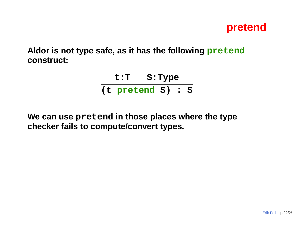

**Aldor is not type safe, as it has the following pretend construct:**

> **t:T S:Type (t pretend S) : S**

**We can use pretend in those places where the type checker fails to compute/convert types.**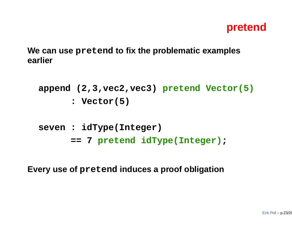

**We can use pretend to fix the problematic examples earlier**

```
append (2,3,vec2,vec3) pretend Vector(5)
      : Vector(5)
```

```
seven : idType(Integer)
      == 7 pretend idType(Integer);
```
**Every use of pretend induces <sup>a</sup> proof obligation**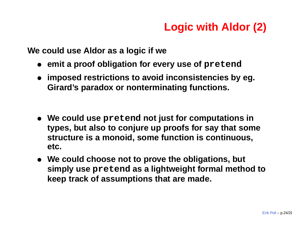# **Logic with Aldor (2)**

**We could use Aldor as <sup>a</sup> logic if we**

- **emit <sup>a</sup> proof obligation for every use of pretend**
- **imposed restrictions to avoid inconsistencies by eg. Girard's paradox or nonterminating functions.**
- **We could use pretend not just for computations in types, but also to conjure up proofs for say that some structure is <sup>a</sup> monoid, some function is continuous, etc.**
- **We could choose not to prove the obligations, but simply use pretend as <sup>a</sup> lightweight formal method to keep track of assumptions that are made.**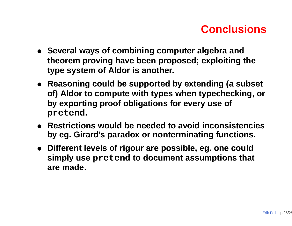# **Conclusions**

- **Several ways of combining computer algebra and theorem proving have been proposed; exploiting the type system of Aldor is another.**
- **Reasoning could be supported by extending (a subset of) Aldor to compute with types when typechecking, or by exporting proof obligations for every use of pretend.**
- **Restrictions would be needed to avoid inconsistencies by eg. Girard's paradox or nonterminating functions.**
- **Different levels of rigour are possible, eg. one could simply use pretend to document assumptions that are made.**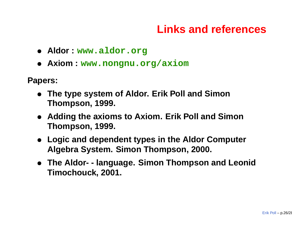## **Links and references**

- **Aldor : www.aldor.org**
- **Axiom : www.nongnu.org/axiom**

**Papers:**

- **The type system of Aldor. Erik Poll and Simon Thompson, 1999.**
- **Adding the axioms to Axiom. Erik Poll and Simon Thompson, 1999.**
- **Logic and dependent types in the Aldor Computer Algebra System. Simon Thompson, 2000.**
- **The Aldor- - language. Simon Thompson and Leonid Timochouck, 2001.**